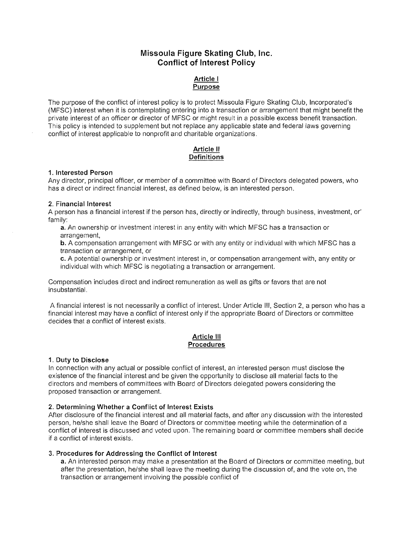# **Missoula Figure Skating Club, Inc. Conflict of Interest Policy**

# **Article I Purpose**

The purpose of the conflict of interest policy is to protect Missoula Figure Skating Club, Incorporated's (MFSC) interest when it is contemplating entering into a transaction or arrangement that might benefit the private interest of an officer or director of MFSC or might result in a possible excess benefit transaction. This policy is intended to supplement but not replace any applicable state and federal laws governing conflict of interest applicable to nonprofit and charitable organizations.

# **Article II Definitions**

#### **1. Interested Person**

Any director, principal officer, or member of a committee with Board of Directors delegated powers, who has a direct or indirect financial interest, as defined below, is an interested person.

#### 2. **Financial Interest**

A person has a financial interest if the person has, directly or indirectly, through business, investment, or family:

a. An ownership or investment interest in any entity with which MFSC has a transaction or arrangement,

**b.** A compensation arrangement with MFSC or with any entity or individual with which MFSC has a transaction or arrangement, or

**c.** A potential ownership or investment interest in, or compensation arrangement with, any entity or individual with which MFSC is negotiating a transaction or arrangement.

Compensation includes direct and indirect remuneration as well as gifts or favors that are not insubstantial.

A financial interest is not necessarily a conflict of interest. Under Article III, Section 2, a person who has a financial interest may have a conflict of interest only if the appropriate Board of Directors or committee decides that a conflict of interest exists.

#### **Article III Procedures**

#### **1. Duty to Disclose**

In connection with any actual or possible conflict of interest, an interested person must disclose the existence of the financial interest and be given the opportunity to disclose all material facts to the directors and members of committees with Board of Directors delegated powers considering the proposed transaction or arrangement.

#### **2. Determining Whether a Conflict of Interest Exists**

After disclosure of the financial interest and all material facts, and after any discussion with the interested person, he/she shall leave the Board of Directors or committee meeting while the determination of a conflict of interest is discussed and voted upon. The remaining board or committee members shall decide if a conflict of interest exists.

#### 3. **Procedures for Addressing the Conflict of Interest**

**a.** An interested person may make a presentation at the Board of Directors or committee meeting, but after the presentation, he/she shall leave the meeting during the discussion of, and the vote on, the transaction or arrangement involving the possible conflict of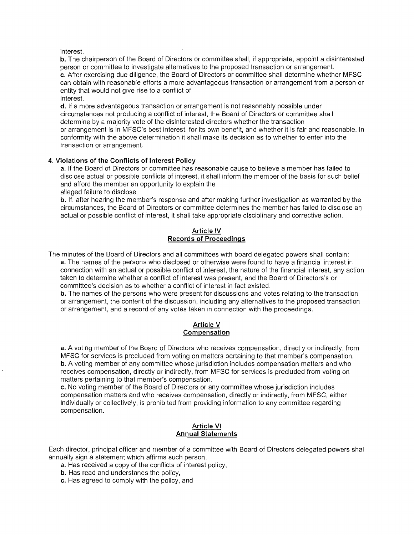interest.

b. The chairperson of the Board of Directors or committee shall, if appropriate, appoint a disinterested person or committee to investigate alternatives to the proposed transaction or arrangement. c. After exercising due diligence, the Board of Directors or committee shall determine whether MFSC can obtain with reasonable efforts a more advantageous transaction or arrangement from a person or entity that would not give rise to a conflict of interest.

d. If a more advantageous transaction or arrangement is not reasonably possible under circumstances not producing a conflict of interest, the Board of Directors or committee shall determine by a majority vote of the disinterested directors whether the transaction or arrangement is in MFSC's best interest, for its own benefit, and whether it is fair and reasonable. In conformity with the above determination it shall make its decision as to whether to enter into the transaction or arrangement.

#### 4. Violations of the Conflicts of Interest Policy

a. If the Board of Directors or committee has reasonable cause to believe a member has failed to disclose actual or possible conflicts of interest, it shall inform the member of the basis for such belief and afford the member an opportunity to explain the

alleged failure to disclose.

b. If, after hearing the member's response and after making further investigation as warranted by the circumstances, the Board of Directors or committee determines the member has failed to disclose ao actual or possible conflict of interest, it shall take appropriate disciplinary and corrective action.

## Article IV Records of Proceedings

The minutes of the Board of Directors and all committees with board delegated powers shall contain:

a. The names of the persons who disclosed or otherwise were found to have a financial interest in connection with an actual or possible conflict of interest, the nature of the financial interest, any action taken to determine whether a conflict of interest was present, and the Board of Directors's or committee's decision as to whether a conflict of interest in fact existed.

b. The names of the persons who were present for discussions and votes relating to the transaction or arrangement, the content of the discussion, including any alternatives to the proposed transaction or arrangement, and a record of any votes taken in connection with the proceedings.

#### Article V Compensation

a. A voting member of the Board of Directors who receives compensation, directly or indirectly, from MFSC for services is precluded from voting on matters pertaining to that member's compensation. b. A voting member of any committee whose jurisdiction includes compensation matters and who receives compensation, directly or indirectly, from MFSC for services is precluded from voting on matters pertaining to that member's compensation.

c. No voting member of the Board of Directors or any committee whose jurisdiction includes compensation matters and who receives compensation, directly or indirectly, from MFSC, either individually or collectively, is prohibited from providing information to any committee regarding compensation.

# Article VI Annual Statements

Each director, principal officer and member of a committee with Board of Directors delegated powers shall annually sign a statement which affirms such person:

- a. Has received a copy of the conflicts of interest policy,
- b. Has read and understands the policy,
- c. Has agreed to comply with the policy, and